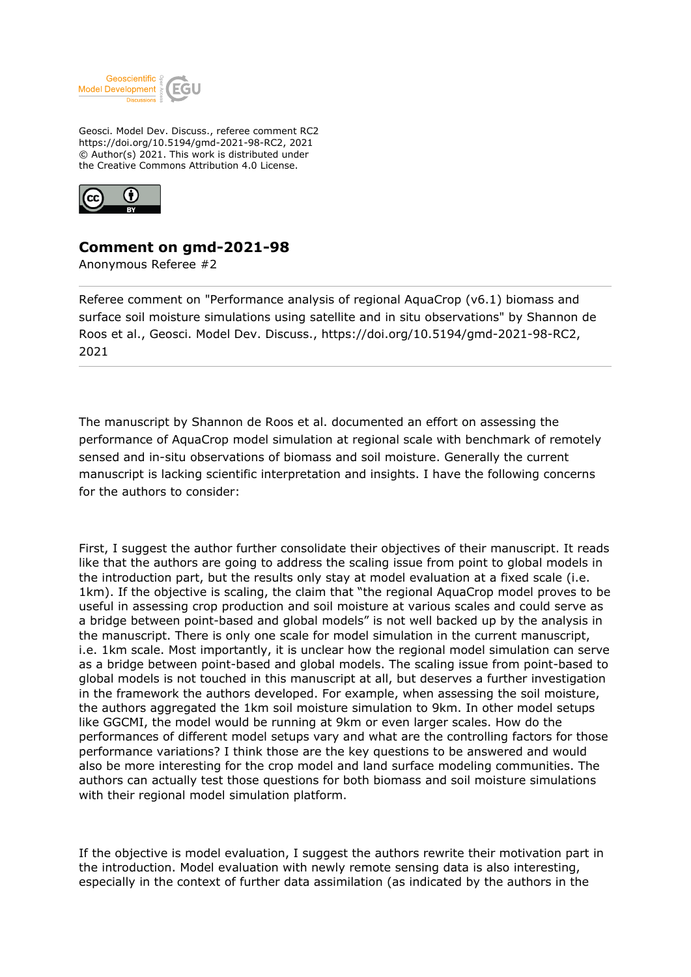

Geosci. Model Dev. Discuss., referee comment RC2 https://doi.org/10.5194/gmd-2021-98-RC2, 2021 © Author(s) 2021. This work is distributed under the Creative Commons Attribution 4.0 License.



## **Comment on gmd-2021-98**

Anonymous Referee #2

Referee comment on "Performance analysis of regional AquaCrop (v6.1) biomass and surface soil moisture simulations using satellite and in situ observations" by Shannon de Roos et al., Geosci. Model Dev. Discuss., https://doi.org/10.5194/gmd-2021-98-RC2, 2021

The manuscript by Shannon de Roos et al. documented an effort on assessing the performance of AquaCrop model simulation at regional scale with benchmark of remotely sensed and in-situ observations of biomass and soil moisture. Generally the current manuscript is lacking scientific interpretation and insights. I have the following concerns for the authors to consider:

First, I suggest the author further consolidate their objectives of their manuscript. It reads like that the authors are going to address the scaling issue from point to global models in the introduction part, but the results only stay at model evaluation at a fixed scale (i.e. 1km). If the objective is scaling, the claim that "the regional AquaCrop model proves to be useful in assessing crop production and soil moisture at various scales and could serve as a bridge between point-based and global models" is not well backed up by the analysis in the manuscript. There is only one scale for model simulation in the current manuscript, i.e. 1km scale. Most importantly, it is unclear how the regional model simulation can serve as a bridge between point-based and global models. The scaling issue from point-based to global models is not touched in this manuscript at all, but deserves a further investigation in the framework the authors developed. For example, when assessing the soil moisture, the authors aggregated the 1km soil moisture simulation to 9km. In other model setups like GGCMI, the model would be running at 9km or even larger scales. How do the performances of different model setups vary and what are the controlling factors for those performance variations? I think those are the key questions to be answered and would also be more interesting for the crop model and land surface modeling communities. The authors can actually test those questions for both biomass and soil moisture simulations with their regional model simulation platform.

If the objective is model evaluation, I suggest the authors rewrite their motivation part in the introduction. Model evaluation with newly remote sensing data is also interesting, especially in the context of further data assimilation (as indicated by the authors in the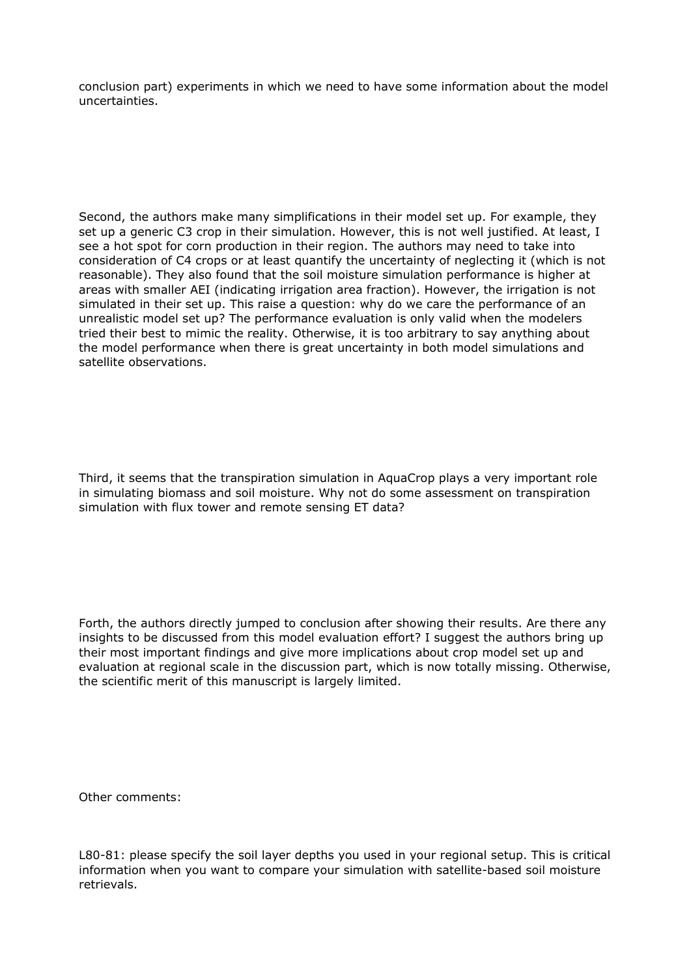conclusion part) experiments in which we need to have some information about the model uncertainties.

Second, the authors make many simplifications in their model set up. For example, they set up a generic C3 crop in their simulation. However, this is not well justified. At least, I see a hot spot for corn production in their region. The authors may need to take into consideration of C4 crops or at least quantify the uncertainty of neglecting it (which is not reasonable). They also found that the soil moisture simulation performance is higher at areas with smaller AEI (indicating irrigation area fraction). However, the irrigation is not simulated in their set up. This raise a question: why do we care the performance of an unrealistic model set up? The performance evaluation is only valid when the modelers tried their best to mimic the reality. Otherwise, it is too arbitrary to say anything about the model performance when there is great uncertainty in both model simulations and satellite observations.

Third, it seems that the transpiration simulation in AquaCrop plays a very important role in simulating biomass and soil moisture. Why not do some assessment on transpiration simulation with flux tower and remote sensing ET data?

Forth, the authors directly jumped to conclusion after showing their results. Are there any insights to be discussed from this model evaluation effort? I suggest the authors bring up their most important findings and give more implications about crop model set up and evaluation at regional scale in the discussion part, which is now totally missing. Otherwise, the scientific merit of this manuscript is largely limited.

Other comments:

L80-81: please specify the soil layer depths you used in your regional setup. This is critical information when you want to compare your simulation with satellite-based soil moisture retrievals.